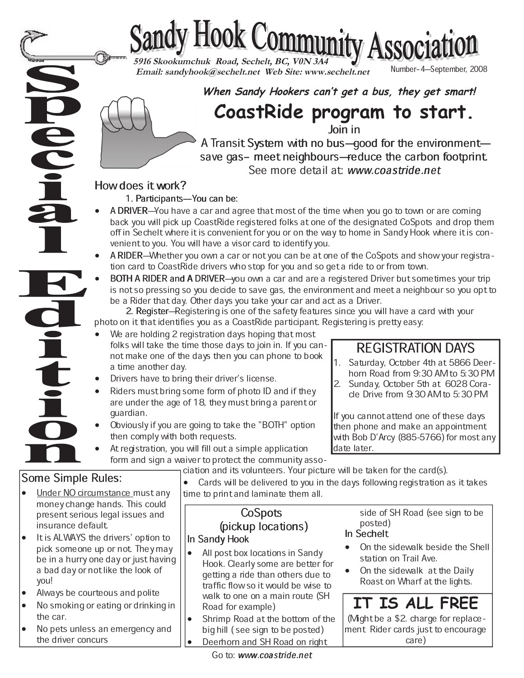# Sandy Hook Community Association

 **Email: sandyhook@sechelt.net Web Site: www.sechelt.net**

**When Sandy Hookers can't get a bus, they get smart!**

**CoastRide program to start.**

 $\overline{\text{loin}}$  in

A Transit System with no bus-good for the environmentsave gas- meet neighbours-reduce the carbon footprint. See more detail at: www.coastride.net

### How does it work?

1. Participants-You can be:

- A DRIVER—You have a car and agree that most of the time when you go to town or are coming back you will pick up CoastRide registered folks at one of the designated CoSpots and drop them off in Sechelt where it is convenient for you or on the way to home in Sandy Hook where it is convenient to you. You will have a visor card to identify you.
- A RIDER—Whether you own a car or not you can be at one of the CoSpots and show your registration card to CoastRide drivers who stop for you and so get a ride to or from town.
- BOTH A RIDER and A DRIVER-you own a car and are a registered Driver but sometimes your trip is not so pressing so you decide to save gas, the environment and meet a neighbour so you opt to be a Rider that day. Other days you take your car and act as a Driver.

2. Register–Registering is one of the safety features since you will have a card with your photo on it that identifies you as a CoastRide participant. Registering is pretty easy:<br>● We are holding 2 registration days hoping that most

- We are holding 2 registration days hoping that most folks will take the time those days to join in. If you cannot make one of the days then you can phone to book a time another day.
- Drivers have to bring their driver's license.
- Riders must bring some form of photo ID and if they are under the age of 18, they must bring a parent or guardian.
- Obviously if you are going to take the "BOTH" option then comply with both requests.
- At registration, you will fill out a simple application form and sign a waiver to protect the community asso-

## Some Simple Rules:

 $\widetilde{\bullet}$ 

- Under NO circumstance must any money change hands. This could present serious legal issues and insurance default.
- It is ALWAYS the drivers' option to pick someone up or not. They may be in a hurry one day or just having a bad day or not like the look of you!
- Always be courteous and polite
- No smoking or eating or drinking in the car.
- No pets unless an emergency and the driver concurs

ciation and its volunteers. Your picture will be taken for the card(s).<br>● Cards will be delivered to you in the days following registration a Cards will be delivered to you in the days following registration as it takes

time to print and laminate them all.

# CoSpots (pickup locations)

# In Sandy Hook

- All post box locations in Sandy Hook. Clearly some are better for getting a ride than others due to traffic flow so it would be wise to walk to one on a main route (SH Road for example)
- Shrimp Road at the bottom of the big hill ( see sign to be posted)
- Deerhorn and SH Road on right

#### horn Road from 9:30 AM to 5:30 PM 2. Sunday, October 5th at 6028 Cora-

REGISTRATION DAYS 1. Saturday, October 4th at 5866 Deer-

cle Drive from 9:30 AM to 5:30 PM

If you cannot attend one of these days then phone and make an appointment with Bob D'Arcy (885-5766) for most any date later.

side of SH Road (see sign to be posted) In Sechelt

- On the sidewalk beside the Shell station on Trail Ave.
- On the sidewalk at the Daily Roast on Wharf at the lights.

# **IT IS ALL FREE**

(Might be a \$2. charge for replacement Rider cards just to encourage care)

Go to: www.coastride.net